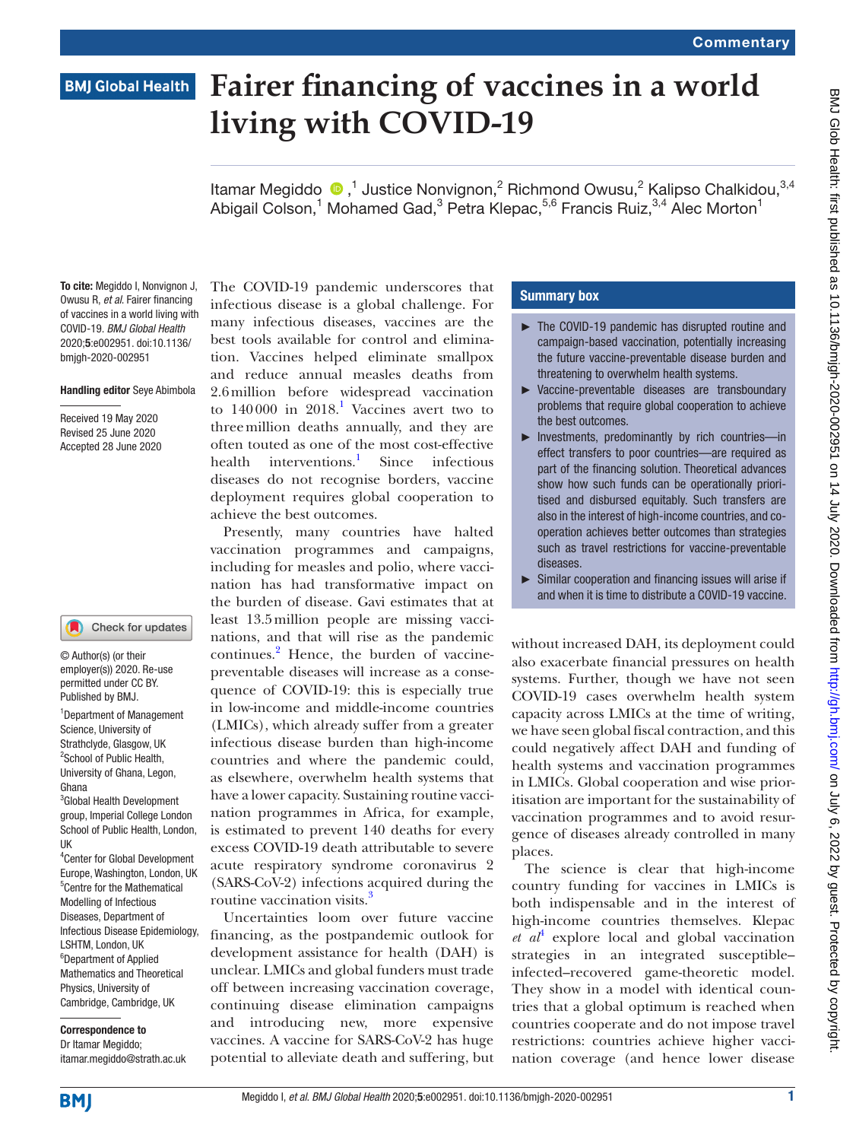# **BMJ Global Health**

# **Fairer financing of vaccines in a world living with COVID-19**

ItamarMegiddo  $\bigcirc$ ,<sup>1</sup> Justice Nonvignon,<sup>2</sup> Richmond Owusu,<sup>2</sup> Kalipso Chalkidou,<sup>3,4</sup> Abigail Colson,<sup>1</sup> Mohamed Gad,<sup>3</sup> Petra Klepac,<sup>5,6</sup> Francis Ruiz,<sup>3,4</sup> Alec Morton<sup>1</sup>

To cite: Megiddo I, Nonvignon J, Owusu R, *et al*. Fairer financing of vaccines in a world living with COVID-19. *BMJ Global Health* 2020;5:e002951. doi:10.1136/ bmjgh-2020-002951

#### Handling editor Seye Abimbola

Received 19 May 2020 Revised 25 June 2020 Accepted 28 June 2020

#### Check for updates

© Author(s) (or their employer(s)) 2020. Re-use permitted under CC BY. Published by BMJ.

1 Department of Management Science, University of Strathclyde, Glasgow, UK <sup>2</sup>School of Public Health, University of Ghana, Legon, Ghana

3 Global Health Development group, Imperial College London School of Public Health, London, UK

4 Center for Global Development Europe, Washington, London, UK 5 Centre for the Mathematical Modelling of Infectious Diseases, Department of Infectious Disease Epidemiology, LSHTM, London, UK <sup>6</sup>Department of Applied Mathematics and Theoretical Physics, University of Cambridge, Cambridge, UK

## Correspondence to Dr Itamar Megiddo;

itamar.megiddo@strath.ac.uk

The COVID-19 pandemic underscores that infectious disease is a global challenge. For many infectious diseases, vaccines are the best tools available for control and elimination. Vaccines helped eliminate smallpox and reduce annual measles deaths from 2.6million before widespread vaccination to  $140000$  in  $2018$ .<sup>1</sup> Vaccines avert two to threemillion deaths annually, and they are often touted as one of the most cost-effective health interventions. $\frac{1}{1}$  $\frac{1}{1}$  $\frac{1}{1}$  Since infectious diseases do not recognise borders, vaccine deployment requires global cooperation to achieve the best outcomes.

Presently, many countries have halted vaccination programmes and campaigns, including for measles and polio, where vaccination has had transformative impact on the burden of disease. Gavi estimates that at least 13.5million people are missing vaccinations, and that will rise as the pandemic continues.<sup>[2](#page-3-1)</sup> Hence, the burden of vaccinepreventable diseases will increase as a consequence of COVID-19: this is especially true in low-income and middle-income countries (LMICs), which already suffer from a greater infectious disease burden than high-income countries and where the pandemic could, as elsewhere, overwhelm health systems that have a lower capacity. Sustaining routine vaccination programmes in Africa, for example, is estimated to prevent 140 deaths for every excess COVID-19 death attributable to severe acute respiratory syndrome coronavirus 2 (SARS-CoV-2) infections acquired during the routine vaccination visits.<sup>[3](#page-3-2)</sup>

Uncertainties loom over future vaccine financing, as the postpandemic outlook for development assistance for health (DAH) is unclear. LMICs and global funders must trade off between increasing vaccination coverage, continuing disease elimination campaigns and introducing new, more expensive vaccines. A vaccine for SARS-CoV-2 has huge potential to alleviate death and suffering, but

#### Summary box

- ► The COVID-19 pandemic has disrupted routine and campaign-based vaccination, potentially increasing the future vaccine-preventable disease burden and threatening to overwhelm health systems.
- ► Vaccine-preventable diseases are transboundary problems that require global cooperation to achieve the best outcomes.
- ► Investments, predominantly by rich countries—in effect transfers to poor countries—are required as part of the financing solution. Theoretical advances show how such funds can be operationally prioritised and disbursed equitably. Such transfers are also in the interest of high-income countries, and cooperation achieves better outcomes than strategies such as travel restrictions for vaccine-preventable diseases.
- ► Similar cooperation and financing issues will arise if and when it is time to distribute a COVID-19 vaccine.

without increased DAH, its deployment could also exacerbate financial pressures on health systems. Further, though we have not seen COVID-19 cases overwhelm health system capacity across LMICs at the time of writing, we have seen global fiscal contraction, and this could negatively affect DAH and funding of health systems and vaccination programmes in LMICs. Global cooperation and wise prioritisation are important for the sustainability of vaccination programmes and to avoid resurgence of diseases already controlled in many places.

The science is clear that high-income country funding for vaccines in LMICs is both indispensable and in the interest of high-income countries themselves. Klepac  $et$   $at^4$  $at^4$  explore local and global vaccination strategies in an integrated susceptible– infected–recovered game-theoretic model. They show in a model with identical countries that a global optimum is reached when countries cooperate and do not impose travel restrictions: countries achieve higher vaccination coverage (and hence lower disease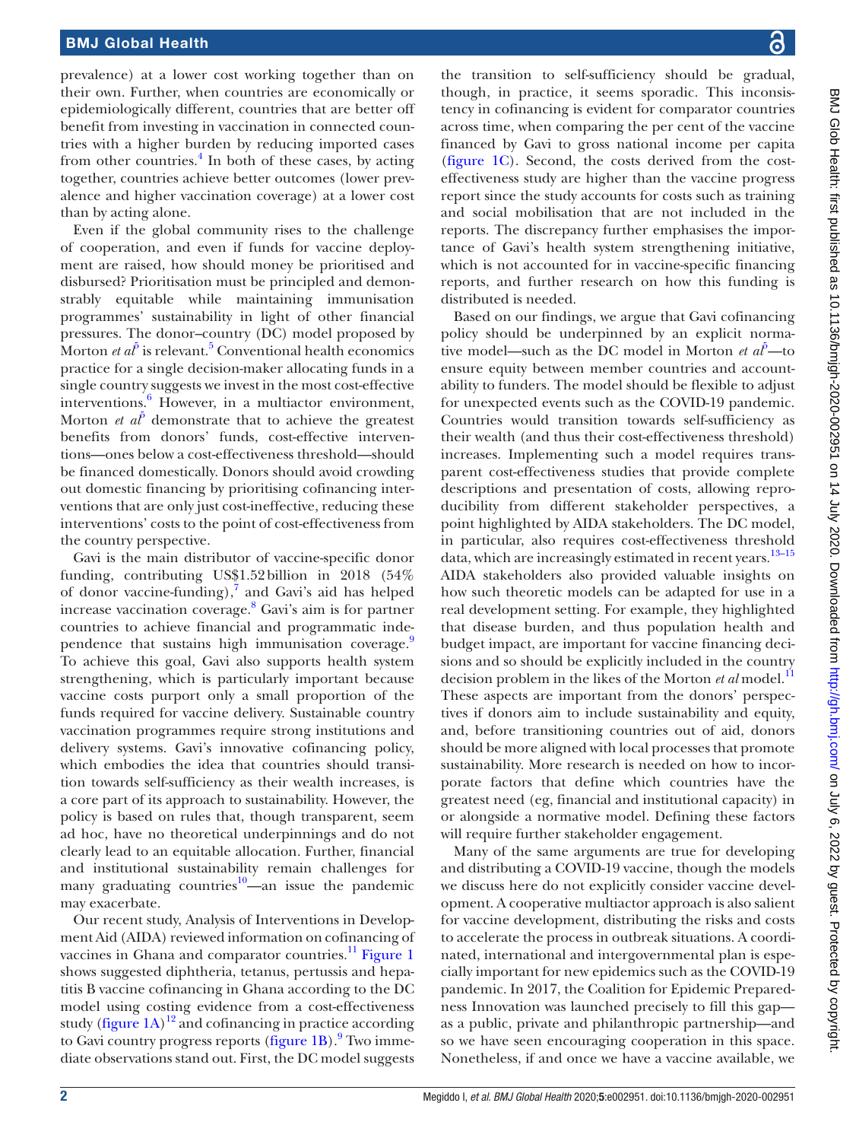prevalence) at a lower cost working together than on their own. Further, when countries are economically or epidemiologically different, countries that are better off benefit from investing in vaccination in connected countries with a higher burden by reducing imported cases from other countries.<sup>[4](#page-3-3)</sup> In both of these cases, by acting together, countries achieve better outcomes (lower prevalence and higher vaccination coverage) at a lower cost than by acting alone.

Even if the global community rises to the challenge of cooperation, and even if funds for vaccine deployment are raised, how should money be prioritised and disbursed? Prioritisation must be principled and demonstrably equitable while maintaining immunisation programmes' sustainability in light of other financial pressures. The donor–country (DC) model proposed by Morton *et al*<sup> $\delta$ </sup> is relevant.<sup>[5](#page-3-4)</sup> Conventional health economics practice for a single decision-maker allocating funds in a single country suggests we invest in the most cost-effective interventions.[6](#page-3-5) However, in a multiactor environment, Morton *et*  $a^{\tilde{p}}$  demonstrate that to achieve the greatest benefits from donors' funds, cost-effective interventions—ones below a cost-effectiveness threshold—should be financed domestically. Donors should avoid crowding out domestic financing by prioritising cofinancing interventions that are only just cost-ineffective, reducing these interventions' costs to the point of cost-effectiveness from the country perspective.

Gavi is the main distributor of vaccine-specific donor funding, contributing US\$1.52billion in 2018 (54% of donor vaccine-funding), $7$  and Gavi's aid has helped increase vaccination coverage.[8](#page-3-7) Gavi's aim is for partner countries to achieve financial and programmatic inde-pendence that sustains high immunisation coverage.<sup>[9](#page-3-8)</sup> To achieve this goal, Gavi also supports health system strengthening, which is particularly important because vaccine costs purport only a small proportion of the funds required for vaccine delivery. Sustainable country vaccination programmes require strong institutions and delivery systems. Gavi's innovative cofinancing policy, which embodies the idea that countries should transition towards self-sufficiency as their wealth increases, is a core part of its approach to sustainability. However, the policy is based on rules that, though transparent, seem ad hoc, have no theoretical underpinnings and do not clearly lead to an equitable allocation. Further, financial and institutional sustainability remain challenges for many graduating countries<sup>10</sup>—an issue the pandemic may exacerbate.

Our recent study, Analysis of Interventions in Development Aid (AIDA) reviewed information on cofinancing of vaccines in Ghana and comparator countries. $^{11}$  $^{11}$  $^{11}$  [Figure](#page-2-0) 1 shows suggested diphtheria, tetanus, pertussis and hepatitis B vaccine cofinancing in Ghana according to the DC model using costing evidence from a cost-effectiveness study [\(figure](#page-2-0)  $1A$ )<sup>[12](#page-3-11)</sup> and cofinancing in practice according to Gavi country progress reports ([figure](#page-2-0) 1B).<sup>[9](#page-3-8)</sup> Two immediate observations stand out. First, the DC model suggests

the transition to self-sufficiency should be gradual, though, in practice, it seems sporadic. This inconsistency in cofinancing is evident for comparator countries across time, when comparing the per cent of the vaccine financed by Gavi to gross national income per capita [\(figure](#page-2-0) 1C). Second, the costs derived from the costeffectiveness study are higher than the vaccine progress report since the study accounts for costs such as training and social mobilisation that are not included in the reports. The discrepancy further emphasises the importance of Gavi's health system strengthening initiative, which is not accounted for in vaccine-specific financing reports, and further research on how this funding is distributed is needed.

Based on our findings, we argue that Gavi cofinancing policy should be underpinned by an explicit normative model—such as the DC model in Morton  $et\ a^{\tilde{p}}$ —to ensure equity between member countries and accountability to funders. The model should be flexible to adjust for unexpected events such as the COVID-19 pandemic. Countries would transition towards self-sufficiency as their wealth (and thus their cost-effectiveness threshold) increases. Implementing such a model requires transparent cost-effectiveness studies that provide complete descriptions and presentation of costs, allowing reproducibility from different stakeholder perspectives, a point highlighted by AIDA stakeholders. The DC model, in particular, also requires cost-effectiveness threshold data, which are increasingly estimated in recent years.<sup>[13–15](#page-3-12)</sup> AIDA stakeholders also provided valuable insights on how such theoretic models can be adapted for use in a real development setting. For example, they highlighted that disease burden, and thus population health and budget impact, are important for vaccine financing decisions and so should be explicitly included in the country decision problem in the likes of the Morton *et al* model.<sup>11</sup> These aspects are important from the donors' perspectives if donors aim to include sustainability and equity, and, before transitioning countries out of aid, donors should be more aligned with local processes that promote sustainability. More research is needed on how to incorporate factors that define which countries have the greatest need (eg, financial and institutional capacity) in or alongside a normative model. Defining these factors will require further stakeholder engagement.

Many of the same arguments are true for developing and distributing a COVID-19 vaccine, though the models we discuss here do not explicitly consider vaccine development. A cooperative multiactor approach is also salient for vaccine development, distributing the risks and costs to accelerate the process in outbreak situations. A coordinated, international and intergovernmental plan is especially important for new epidemics such as the COVID-19 pandemic. In 2017, the Coalition for Epidemic Preparedness Innovation was launched precisely to fill this gap as a public, private and philanthropic partnership—and so we have seen encouraging cooperation in this space. Nonetheless, if and once we have a vaccine available, we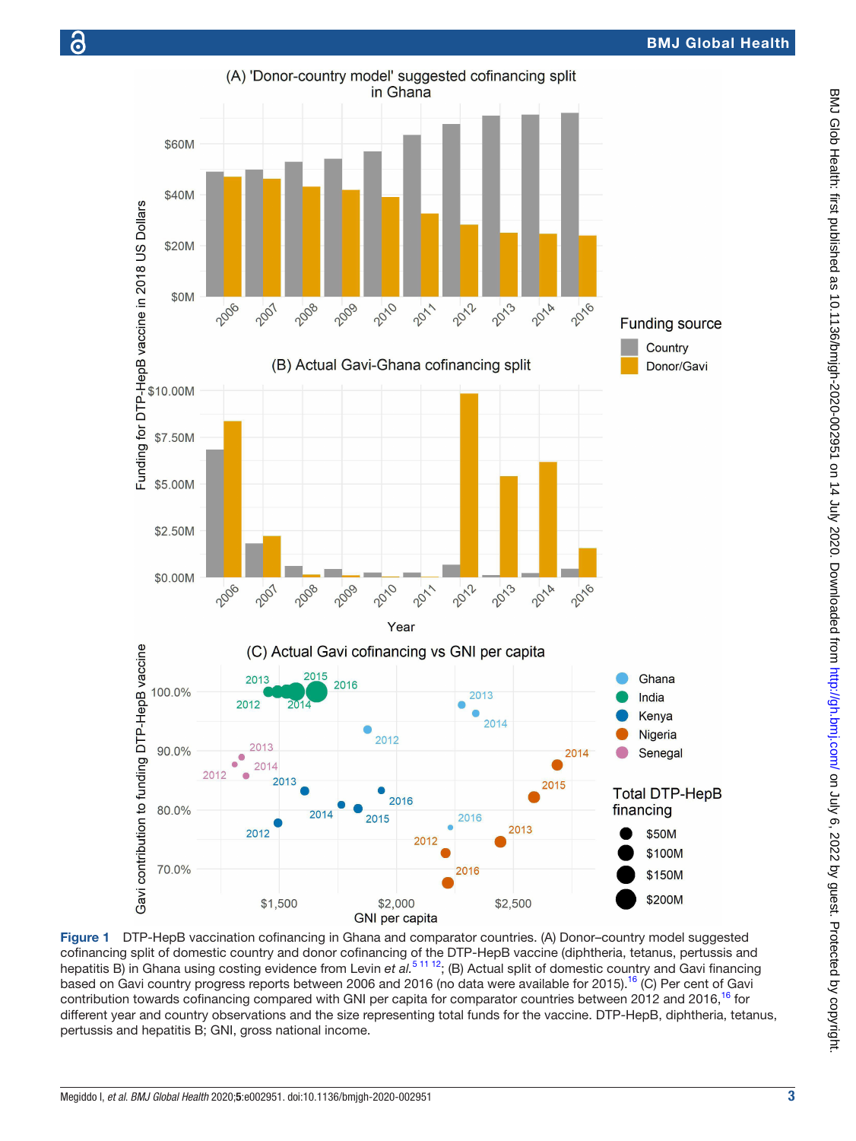

<span id="page-2-0"></span>Figure 1 DTP-HepB vaccination cofinancing in Ghana and comparator countries. (A) Donor–country model suggested cofinancing split of domestic country and donor cofinancing of the DTP-HepB vaccine (diphtheria, tetanus, pertussis and hepatitis B) in Ghana using costing evidence from Levin et al.<sup>5 11 12</sup>; (B) Actual split of domestic country and Gavi financing based on Gavi country progress reports between 2006 and 20[16](#page-3-13) (no data were available for 2015).<sup>16</sup> (C) Per cent of Gavi contribution towards cofinancing compared with GNI per capita for comparator countries between 2012 and 2016,<sup>16</sup> for different year and country observations and the size representing total funds for the vaccine. DTP-HepB, diphtheria, tetanus, pertussis and hepatitis B; GNI, gross national income.